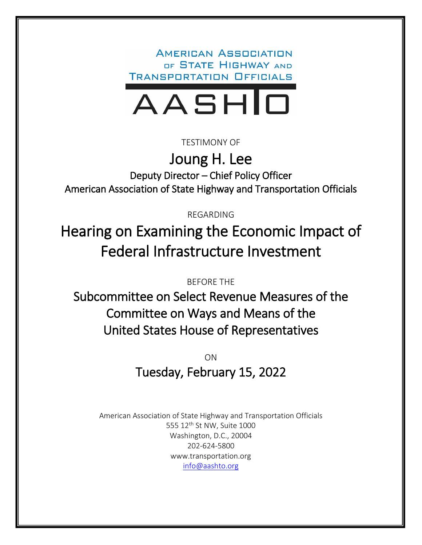**AMERICAN ASSOCIATION** OF STATE HIGHWAY AND **TRANSPORTATION OFFICIALS** 



TESTIMONY OF

Joung H. Lee Deputy Director – Chief Policy Officer American Association of State Highway and Transportation Officials

REGARDING

Hearing on Examining the Economic Impact of Federal Infrastructure Investment

BEFORE THE

Subcommittee on Select Revenue Measures of the Committee on Ways and Means of the United States House of Representatives

> ON Tuesday, February 15, 2022

American Association of State Highway and Transportation Officials 555 12<sup>th</sup> St NW, Suite 1000 Washington, D.C., 20004 202-624-5800 www.transportation.org [info@aashto.org](mailto:info@aashto.org)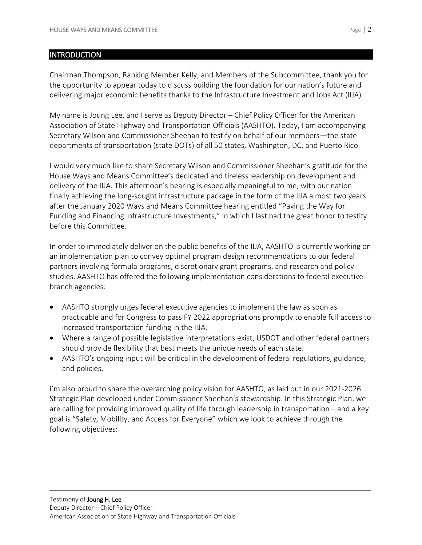#### **INTRODUCTION**

Chairman Thompson, Ranking Member Kelly, and Members of the Subcommittee, thank you for the opportunity to appear today to discuss building the foundation for our nation's future and delivering major economic benefits thanks to the Infrastructure Investment and Jobs Act (IIJA).

My name is Joung Lee, and I serve as Deputy Director – Chief Policy Officer for the American Association of State Highway and Transportation Officials (AASHTO). Today, I am accompanying Secretary Wilson and Commissioner Sheehan to testify on behalf of our members—the state departments of transportation (state DOTs) of all 50 states, Washington, DC, and Puerto Rico.

I would very much like to share Secretary Wilson and Commissioner Sheehan's gratitude for the House Ways and Means Committee's dedicated and tireless leadership on development and delivery of the IIJA. This afternoon's hearing is especially meaningful to me, with our nation finally achieving the long-sought infrastructure package in the form of the IIJA almost two years after the January 2020 Ways and Means Committee hearing entitled "Paving the Way for Funding and Financing Infrastructure Investments," in which I last had the great honor to testify before this Committee.

In order to immediately deliver on the public benefits of the IIJA, AASHTO is currently working on an implementation plan to convey optimal program design recommendations to our federal partners involving formula programs, discretionary grant programs, and research and policy studies. AASHTO has offered the following implementation considerations to federal executive branch agencies:

- AASHTO strongly urges federal executive agencies to implement the law as soon as practicable and for Congress to pass FY 2022 appropriations promptly to enable full access to increased transportation funding in the IIJA.
- Where a range of possible legislative interpretations exist, USDOT and other federal partners should provide flexibility that best meets the unique needs of each state.
- AASHTO's ongoing input will be critical in the development of federal regulations, guidance, and policies.

I'm also proud to share the overarching policy vision for AASHTO, as laid out in our 2021-2026 Strategic Plan developed under Commissioner Sheehan's stewardship. In this Strategic Plan, we are calling for providing improved quality of life through leadership in transportation—and a key goal is "Safety, Mobility, and Access for Everyone" which we look to achieve through the following objectives: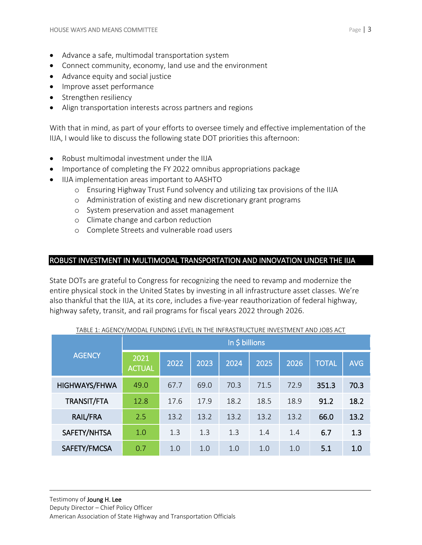- Advance a safe, multimodal transportation system
- Connect community, economy, land use and the environment
- Advance equity and social justice
- Improve asset performance
- Strengthen resiliency
- Align transportation interests across partners and regions

With that in mind, as part of your efforts to oversee timely and effective implementation of the IIJA, I would like to discuss the following state DOT priorities this afternoon:

- Robust multimodal investment under the IIJA
- Importance of completing the FY 2022 omnibus appropriations package
- IIJA implementation areas important to AASHTO
	- o Ensuring Highway Trust Fund solvency and utilizing tax provisions of the IIJA
	- o Administration of existing and new discretionary grant programs
	- o System preservation and asset management
	- o Climate change and carbon reduction
	- o Complete Streets and vulnerable road users

# ROBUST INVESTMENT IN MULTIMODAL TRANSPORTATION AND INNOVATION UNDER THE IIJA

State DOTs are grateful to Congress for recognizing the need to revamp and modernize the entire physical stock in the United States by investing in all infrastructure asset classes. We're also thankful that the IIJA, at its core, includes a five-year reauthorization of federal highway, highway safety, transit, and rail programs for fiscal years 2022 through 2026.

| <b>AGENCY</b> | In \$ billions        |      |      |      |      |      |              |            |  |
|---------------|-----------------------|------|------|------|------|------|--------------|------------|--|
|               | 2021<br><b>ACTUAL</b> | 2022 | 2023 | 2024 | 2025 | 2026 | <b>TOTAL</b> | <b>AVG</b> |  |
| HIGHWAYS/FHWA | 49.0                  | 67.7 | 69.0 | 70.3 | 71.5 | 72.9 | 351.3        | 70.3       |  |
| TRANSIT/FTA   | 12.8                  | 17.6 | 17.9 | 18.2 | 18.5 | 18.9 | 91.2         | 18.2       |  |
| RAIL/FRA      | 2.5                   | 13.2 | 13.2 | 13.2 | 13.2 | 13.2 | 66.0         | 13.2       |  |
| SAFETY/NHTSA  | 1.0                   | 1.3  | 1.3  | 1.3  | 1.4  | 1.4  | 6.7          | 1.3        |  |
| SAFETY/FMCSA  | 0.7                   | 1.0  | 1.0  | 1.0  | 1.0  | 1.0  | 5.1          | 1.0        |  |

#### TABLE 1: AGENCY/MODAL FUNDING LEVEL IN THE INFRASTRUCTURE INVESTMENT AND JOBS ACT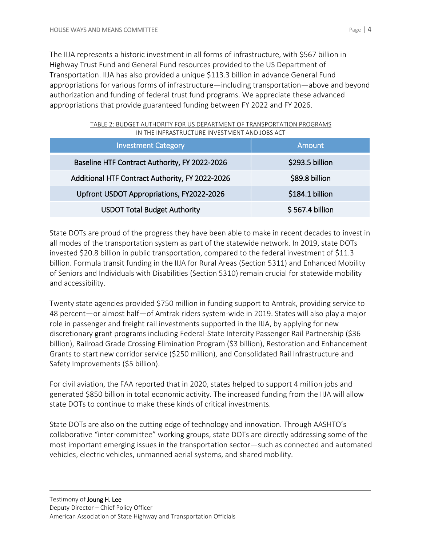The IIJA represents a historic investment in all forms of infrastructure, with \$567 billion in Highway Trust Fund and General Fund resources provided to the US Department of Transportation. IIJA has also provided a unique \$113.3 billion in advance General Fund appropriations for various forms of infrastructure—including transportation—above and beyond authorization and funding of federal trust fund programs. We appreciate these advanced appropriations that provide guaranteed funding between FY 2022 and FY 2026.

| <b>Investment Category</b>                      | Amount           |  |  |
|-------------------------------------------------|------------------|--|--|
| Baseline HTF Contract Authority, FY 2022-2026   | \$293.5 billion  |  |  |
| Additional HTF Contract Authority, FY 2022-2026 | \$89.8 billion   |  |  |
| Upfront USDOT Appropriations, FY2022-2026       | \$184.1 billion  |  |  |
| <b>USDOT Total Budget Authority</b>             | $$567.4$ billion |  |  |

| TABLE 2: BUDGET AUTHORITY FOR US DEPARTMENT OF TRANSPORTATION PROGRAMS |  |
|------------------------------------------------------------------------|--|
| IN THE INFRASTRUCTURE INVESTMENT AND JOBS ACT                          |  |

State DOTs are proud of the progress they have been able to make in recent decades to invest in all modes of the transportation system as part of the statewide network. In 2019, state DOTs invested \$20.8 billion in public transportation, compared to the federal investment of \$11.3 billion. Formula transit funding in the IIJA for Rural Areas (Section 5311) and Enhanced Mobility of Seniors and Individuals with Disabilities (Section 5310) remain crucial for statewide mobility and accessibility.

Twenty state agencies provided \$750 million in funding support to Amtrak, providing service to 48 percent—or almost half—of Amtrak riders system-wide in 2019. States will also play a major role in passenger and freight rail investments supported in the IIJA, by applying for new discretionary grant programs including Federal-State Intercity Passenger Rail Partnership (\$36 billion), Railroad Grade Crossing Elimination Program (\$3 billion), Restoration and Enhancement Grants to start new corridor service (\$250 million), and Consolidated Rail Infrastructure and Safety Improvements (\$5 billion).

For civil aviation, the FAA reported that in 2020, states helped to support 4 million jobs and generated \$850 billion in total economic activity. The increased funding from the IIJA will allow state DOTs to continue to make these kinds of critical investments.

State DOTs are also on the cutting edge of technology and innovation. Through AASHTO's collaborative "inter-committee" working groups, state DOTs are directly addressing some of the most important emerging issues in the transportation sector—such as connected and automated vehicles, electric vehicles, unmanned aerial systems, and shared mobility.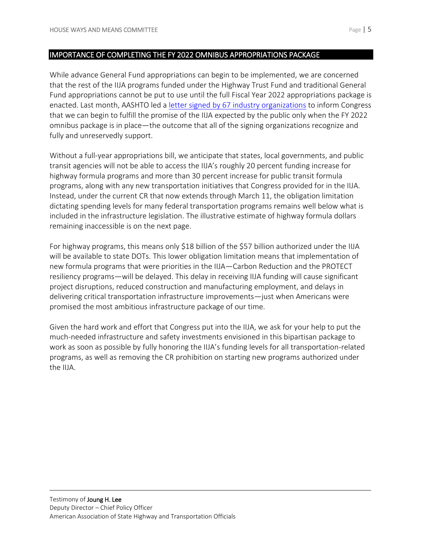#### IMPORTANCE OF COMPLETING THE FY 2022 OMNIBUS APPROPRIATIONS PACKAGE

While advance General Fund appropriations can begin to be implemented, we are concerned that the rest of the IIJA programs funded under the Highway Trust Fund and traditional General Fund appropriations cannot be put to use until the full Fiscal Year 2022 appropriations package is enacted. Last month, AASHTO led a [letter signed by 67 industry organizations](https://policy.transportation.org/wp-content/uploads/sites/59/2022/01/Industry-Letter-to-Congress-on-FY-2022-Appropriations-FINAL-2022-01-24-2.pdf) to inform Congress that we can begin to fulfill the promise of the IIJA expected by the public only when the FY 2022 omnibus package is in place—the outcome that all of the signing organizations recognize and fully and unreservedly support.

Without a full-year appropriations bill, we anticipate that states, local governments, and public transit agencies will not be able to access the IIJA's roughly 20 percent funding increase for highway formula programs and more than 30 percent increase for public transit formula programs, along with any new transportation initiatives that Congress provided for in the IIJA. Instead, under the current CR that now extends through March 11, the obligation limitation dictating spending levels for many federal transportation programs remains well below what is included in the infrastructure legislation. The illustrative estimate of highway formula dollars remaining inaccessible is on the next page.

For highway programs, this means only \$18 billion of the \$57 billion authorized under the IIJA will be available to state DOTs. This lower obligation limitation means that implementation of new formula programs that were priorities in the IIJA—Carbon Reduction and the PROTECT resiliency programs—will be delayed. This delay in receiving IIJA funding will cause significant project disruptions, reduced construction and manufacturing employment, and delays in delivering critical transportation infrastructure improvements—just when Americans were promised the most ambitious infrastructure package of our time.

Given the hard work and effort that Congress put into the IIJA, we ask for your help to put the much-needed infrastructure and safety investments envisioned in this bipartisan package to work as soon as possible by fully honoring the IIJA's funding levels for all transportation-related programs, as well as removing the CR prohibition on starting new programs authorized under the IIJA.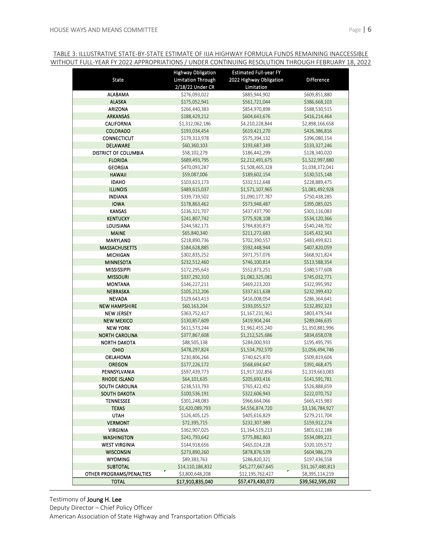# <u>TABLE 3: ILLUSTRATIVE STATE-BY-STATE ESTIMATE OF IIJA HIGHWAY FORMULA FUNDS REMAINING INACCESSIBLE</u> <u>WITHOUT FULL-YEAR FY 2022 APPROPRIATIONS / UNDER CONTINUING RESOLUTION THROUGH FEBRUARY 18, 2022</u>

|                          | <b>Highway Obligation</b> | <b>Estimated Full-year FY</b> |                  |
|--------------------------|---------------------------|-------------------------------|------------------|
| State                    | <b>Limitation Through</b> | 2022 Highway Obligation       | Difference       |
|                          | 2/18/22 Under CR          | Limitation                    |                  |
| <b>ALABAMA</b>           | \$276,093,022             | \$885,944,902                 | \$609,851,880    |
| <b>ALASKA</b>            | \$175,052,941             | \$561,721,044                 | \$386,668,103    |
| ARIZONA                  | \$266,440,383             | \$854,970,898                 | \$588,530,515    |
| <b>ARKANSAS</b>          | \$188,429,212             | \$604,643,676                 | \$416,214,464    |
| <b>CALIFORNIA</b>        | \$1,312,062,186           | \$4,210,228,844               | \$2,898,166,658  |
| <b>COLORADO</b>          | \$193,034,454             | \$619,421,270                 | \$426,386,816    |
| <b>CONNECTICUT</b>       | \$179,313,978             | \$575,394,132                 | \$396,080,154    |
| DELAWARE                 | \$60,360,103              | \$193,687,349                 | \$133,327,246    |
| DISTRICT OF COLUMBIA     | \$58,102,279              | \$186,442,299                 | \$128,340,020    |
| <b>FLORIDA</b>           | \$689,493,795             | \$2,212,491,675               | \$1,522,997,880  |
| <b>GEORGIA</b>           | \$470,093,287             | \$1,508,465,328               | \$1,038,372,041  |
| <b>HAWAII</b>            | \$59,087,006              | \$189,602,154                 | \$130,515,148    |
| <b>IDAHO</b>             | \$103,623,173             | \$332,512,648                 | \$228,889,475    |
| <b>ILLINOIS</b>          | \$489,615,037             | \$1,571,107,965               | \$1,081,492,928  |
| <b>INDIANA</b>           | \$339,739,502             | \$1,090,177,787               | \$750,438,285    |
| <b>IOWA</b>              | \$178,863,462             | \$573,948,487                 | \$395,085,025    |
| <b>KANSAS</b>            | \$136,321,707             | \$437,437,790                 | \$301,116,083    |
| <b>KENTUCKY</b>          | \$241,807,742             | \$775,928,108                 | \$534,120,366    |
| LOUISIANA                | \$244,582,171             | \$784,830,873                 | \$540,248,702    |
| <b>MAINE</b>             | \$65,840,340              | \$211,272,683                 | \$145,432,343    |
| MARYLAND                 | \$218,890,736             | \$702,390,557                 | \$483,499,821    |
| <b>MASSACHUSETTS</b>     | \$184,628,885             | \$592,448,944                 | \$407,820,059    |
| <b>MICHIGAN</b>          | \$302,835,252             | \$971,757,076                 | \$668,921,824    |
| <b>MINNESOTA</b>         | \$232,512,460             | \$746,100,814                 | \$513,588,354    |
| <b>MISSISSIPPI</b>       | \$172,295,643             | \$552,873,251                 | \$380,577,608    |
| <b>MISSOURI</b>          | \$337,292,310             | \$1,082,325,081               | \$745,032,771    |
| <b>MONTANA</b>           | \$146,227,211             | \$469,223,203                 | \$322,995,992    |
| <b>NEBRASKA</b>          | \$105,212,206             | \$337,611,638                 | \$232,399,432    |
| <b>NEVADA</b>            | \$129,643,413             | \$416,008,054                 | \$286,364,641    |
| <b>NEW HAMPSHIRE</b>     | \$60,163,204              | \$193,055,527                 | \$132,892,323    |
| <b>NEW JERSEY</b>        | \$363,752,417             | \$1,167,231,961               | \$803,479,544    |
| <b>NEW MEXICO</b>        | \$130,857,609             | \$419,904,244                 | \$289,046,635    |
| <b>NEW YORK</b>          | \$611,573,244             | \$1,962,455,240               | \$1,350,881,996  |
| <b>NORTH CAROLINA</b>    | \$377,867,608             | \$1,212,525,686               | \$834,658,078    |
| <b>NORTH DAKOTA</b>      | \$88,505,138              | \$284,000,933                 | \$195,495,795    |
| OHIO                     | \$478,297,824             | \$1,534,792,570               | \$1,056,494,746  |
| <b>OKLAHOMA</b>          | \$230,806,266             | \$740,625,870                 | \$509,819,604    |
| <b>OREGON</b>            | \$177,226,172             | \$568,694,647                 | \$391,468,475    |
| PENNSYLVANIA             | \$597,439,773             | \$1,917,102,856               | \$1,319,663,083  |
| <b>RHODE ISLAND</b>      | \$64,101,635              | \$205,693,416                 | \$141,591,781    |
| SOUTH CAROLINA           | \$238,533,793             | \$765,422,452                 | \$526,888,659    |
| SOUTH DAKOTA             | \$100,536,191             | \$322,606,943                 | \$222,070,752    |
| TENNESSEE                | \$301,248,083             | \$966,664,066                 | \$665,415,983    |
| <b>TEXAS</b>             | \$1,420,089,793           | \$4,556,874,720               | \$3,136,784,927  |
| <b>UTAH</b>              | \$126,405,125             | \$405,616,829                 | \$279,211,704    |
| <b>VERMONT</b>           | \$72,395,715              | \$232,307,989                 | \$159,912,274    |
| <b>VIRGINIA</b>          | \$362,907,025             | \$1,164,519,213               | \$801,612,188    |
| <b>WASHINGTON</b>        | \$241,793,642             | \$775,882,863                 | \$534,089,221    |
| <b>WEST VIRGINIA</b>     | \$144,918,656             | \$465,024,228                 | \$320,105,572    |
| <b>WISCONSIN</b>         | \$273,890,260             | \$878,876,539                 | \$604,986,279    |
| <b>WYOMING</b>           | \$89,383,763              | \$286,820,321                 | \$197,436,558    |
| <b>SUBTOTAL</b>          | \$14,110,186,832          | \$45,277,667,645              | \$31,167,480,813 |
| OTHER PROGRAMS/PENALTIES | \$3,800,648,208           | \$12,195,762,427              | \$8,395,114,219  |
| <b>TOTAL</b>             | \$17,910,835,040          | \$57,473,430,072              | \$39,562,595,032 |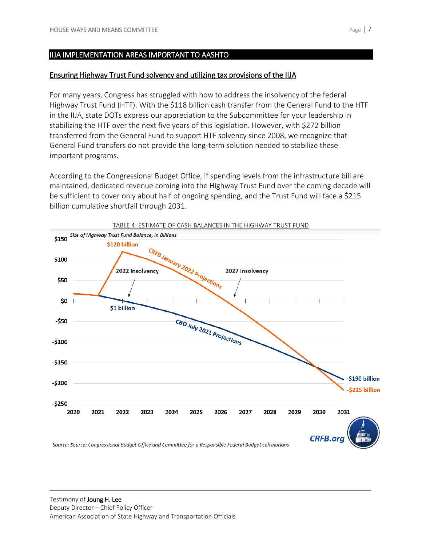### Ensuring Highway Trust Fund solvency and utilizing tax provisions of the IIJA

For many years, Congress has struggled with how to address the insolvency of the federal Highway Trust Fund (HTF). With the \$118 billion cash transfer from the General Fund to the HTF in the IIJA, state DOTs express our appreciation to the Subcommittee for your leadership in stabilizing the HTF over the next five years of this legislation. However, with \$272 billion transferred from the General Fund to support HTF solvency since 2008, we recognize that General Fund transfers do not provide the long-term solution needed to stabilize these important programs.

According to the Congressional Budget Office, if spending levels from the infrastructure bill are maintained, dedicated revenue coming into the Highway Trust Fund over the coming decade will be sufficient to cover only about half of ongoing spending, and the Trust Fund will face a \$215 billion cumulative shortfall through 2031.

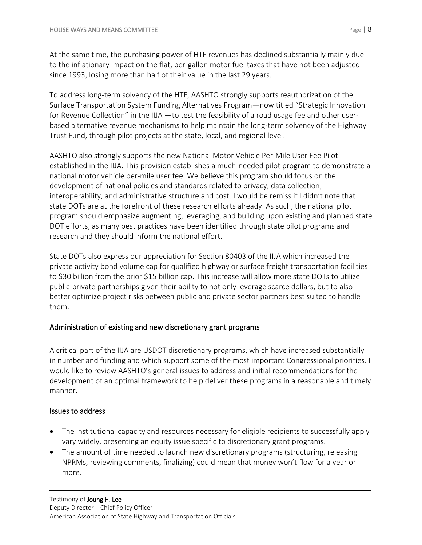At the same time, the purchasing power of HTF revenues has declined substantially mainly due to the inflationary impact on the flat, per-gallon motor fuel taxes that have not been adjusted since 1993, losing more than half of their value in the last 29 years.

To address long-term solvency of the HTF, AASHTO strongly supports reauthorization of the Surface Transportation System Funding Alternatives Program—now titled "Strategic Innovation for Revenue Collection" in the IIJA —to test the feasibility of a road usage fee and other userbased alternative revenue mechanisms to help maintain the long-term solvency of the Highway Trust Fund, through pilot projects at the state, local, and regional level.

AASHTO also strongly supports the new National Motor Vehicle Per-Mile User Fee Pilot established in the IIJA. This provision establishes a much-needed pilot program to demonstrate a national motor vehicle per-mile user fee. We believe this program should focus on the development of national policies and standards related to privacy, data collection, interoperability, and administrative structure and cost. I would be remiss if I didn't note that state DOTs are at the forefront of these research efforts already. As such, the national pilot program should emphasize augmenting, leveraging, and building upon existing and planned state DOT efforts, as many best practices have been identified through state pilot programs and research and they should inform the national effort.

State DOTs also express our appreciation for Section 80403 of the IIJA which increased the private activity bond volume cap for qualified highway or surface freight transportation facilities to \$30 billion from the prior \$15 billion cap. This increase will allow more state DOTs to utilize public-private partnerships given their ability to not only leverage scarce dollars, but to also better optimize project risks between public and private sector partners best suited to handle them.

# Administration of existing and new discretionary grant programs

A critical part of the IIJA are USDOT discretionary programs, which have increased substantially in number and funding and which support some of the most important Congressional priorities. I would like to review AASHTO's general issues to address and initial recommendations for the development of an optimal framework to help deliver these programs in a reasonable and timely manner.

## Issues to address

- The institutional capacity and resources necessary for eligible recipients to successfully apply vary widely, presenting an equity issue specific to discretionary grant programs.
- The amount of time needed to launch new discretionary programs (structuring, releasing NPRMs, reviewing comments, finalizing) could mean that money won't flow for a year or more.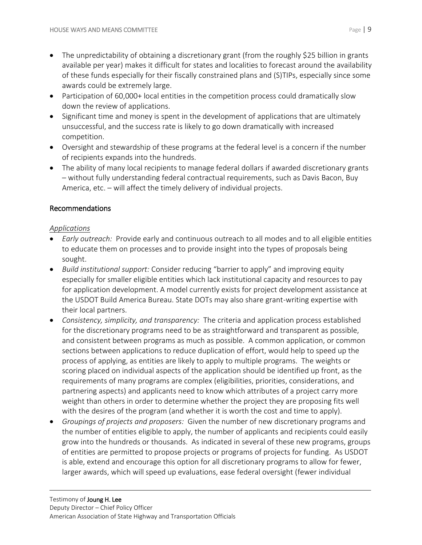- The unpredictability of obtaining a discretionary grant (from the roughly \$25 billion in grants available per year) makes it difficult for states and localities to forecast around the availability of these funds especially for their fiscally constrained plans and (S)TIPs, especially since some awards could be extremely large.
- Participation of 60,000+ local entities in the competition process could dramatically slow down the review of applications.
- Significant time and money is spent in the development of applications that are ultimately unsuccessful, and the success rate is likely to go down dramatically with increased competition.
- Oversight and stewardship of these programs at the federal level is a concern if the number of recipients expands into the hundreds.
- The ability of many local recipients to manage federal dollars if awarded discretionary grants – without fully understanding federal contractual requirements, such as Davis Bacon, Buy America, etc. – will affect the timely delivery of individual projects.

# Recommendations

## *Applications*

- *Early outreach:* Provide early and continuous outreach to all modes and to all eligible entities to educate them on processes and to provide insight into the types of proposals being sought.
- *Build institutional support:* Consider reducing "barrier to apply" and improving equity especially for smaller eligible entities which lack institutional capacity and resources to pay for application development. A model currently exists for project development assistance at the USDOT Build America Bureau. State DOTs may also share grant-writing expertise with their local partners.
- *Consistency, simplicity, and transparency:* The criteria and application process established for the discretionary programs need to be as straightforward and transparent as possible, and consistent between programs as much as possible. A common application, or common sections between applications to reduce duplication of effort, would help to speed up the process of applying, as entities are likely to apply to multiple programs. The weights or scoring placed on individual aspects of the application should be identified up front, as the requirements of many programs are complex (eligibilities, priorities, considerations, and partnering aspects) and applicants need to know which attributes of a project carry more weight than others in order to determine whether the project they are proposing fits well with the desires of the program (and whether it is worth the cost and time to apply).
- *Groupings of projects and proposers:* Given the number of new discretionary programs and the number of entities eligible to apply, the number of applicants and recipients could easily grow into the hundreds or thousands. As indicated in several of these new programs, groups of entities are permitted to propose projects or programs of projects for funding. As USDOT is able, extend and encourage this option for all discretionary programs to allow for fewer, larger awards, which will speed up evaluations, ease federal oversight (fewer individual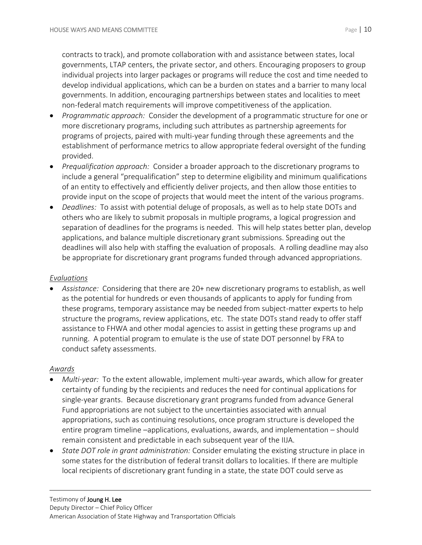contracts to track), and promote collaboration with and assistance between states, local governments, LTAP centers, the private sector, and others. Encouraging proposers to group individual projects into larger packages or programs will reduce the cost and time needed to develop individual applications, which can be a burden on states and a barrier to many local governments. In addition, encouraging partnerships between states and localities to meet non-federal match requirements will improve competitiveness of the application.

- *Programmatic approach:* Consider the development of a programmatic structure for one or more discretionary programs, including such attributes as partnership agreements for programs of projects, paired with multi-year funding through these agreements and the establishment of performance metrics to allow appropriate federal oversight of the funding provided.
- *Prequalification approach:* Consider a broader approach to the discretionary programs to include a general "prequalification" step to determine eligibility and minimum qualifications of an entity to effectively and efficiently deliver projects, and then allow those entities to provide input on the scope of projects that would meet the intent of the various programs.
- *Deadlines:* To assist with potential deluge of proposals, as well as to help state DOTs and others who are likely to submit proposals in multiple programs, a logical progression and separation of deadlines for the programs is needed. This will help states better plan, develop applications, and balance multiple discretionary grant submissions. Spreading out the deadlines will also help with staffing the evaluation of proposals. A rolling deadline may also be appropriate for discretionary grant programs funded through advanced appropriations.

## *Evaluations*

 *Assistance:* Considering that there are 20+ new discretionary programs to establish, as well as the potential for hundreds or even thousands of applicants to apply for funding from these programs, temporary assistance may be needed from subject-matter experts to help structure the programs, review applications, etc. The state DOTs stand ready to offer staff assistance to FHWA and other modal agencies to assist in getting these programs up and running. A potential program to emulate is the use of state DOT personnel by FRA to conduct safety assessments.

## *Awards*

- *Multi-year:* To the extent allowable, implement multi-year awards, which allow for greater certainty of funding by the recipients and reduces the need for continual applications for single-year grants. Because discretionary grant programs funded from advance General Fund appropriations are not subject to the uncertainties associated with annual appropriations, such as continuing resolutions, once program structure is developed the entire program timeline –applications, evaluations, awards, and implementation – should remain consistent and predictable in each subsequent year of the IIJA.
- *State DOT role in grant administration:* Consider emulating the existing structure in place in some states for the distribution of federal transit dollars to localities. If there are multiple local recipients of discretionary grant funding in a state, the state DOT could serve as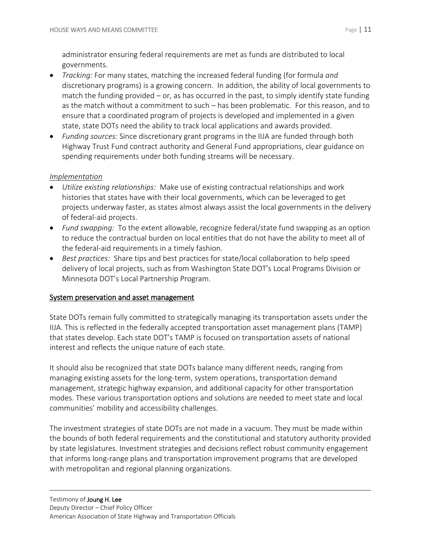administrator ensuring federal requirements are met as funds are distributed to local governments.

- *Tracking:* For many states, matching the increased federal funding (for formula *and* discretionary programs) is a growing concern. In addition, the ability of local governments to match the funding provided  $-$  or, as has occurred in the past, to simply identify state funding as the match without a commitment to such – has been problematic. For this reason, and to ensure that a coordinated program of projects is developed and implemented in a given state, state DOTs need the ability to track local applications and awards provided.
- *Funding sources:* Since discretionary grant programs in the IIJA are funded through both Highway Trust Fund contract authority and General Fund appropriations, clear guidance on spending requirements under both funding streams will be necessary.

# *Implementation*

- *Utilize existing relationships:* Make use of existing contractual relationships and work histories that states have with their local governments, which can be leveraged to get projects underway faster, as states almost always assist the local governments in the delivery of federal-aid projects.
- *Fund swapping:* To the extent allowable, recognize federal/state fund swapping as an option to reduce the contractual burden on local entities that do not have the ability to meet all of the federal-aid requirements in a timely fashion.
- *Best practices:* Share tips and best practices for state/local collaboration to help speed delivery of local projects, such as from Washington State DOT's Local Programs Division or Minnesota DOT's Local Partnership Program.

# System preservation and asset management

State DOTs remain fully committed to strategically managing its transportation assets under the IIJA. This is reflected in the federally accepted transportation asset management plans (TAMP) that states develop. Each state DOT's TAMP is focused on transportation assets of national interest and reflects the unique nature of each state.

It should also be recognized that state DOTs balance many different needs, ranging from managing existing assets for the long-term, system operations, transportation demand management, strategic highway expansion, and additional capacity for other transportation modes. These various transportation options and solutions are needed to meet state and local communities' mobility and accessibility challenges.

The investment strategies of state DOTs are not made in a vacuum. They must be made within the bounds of both federal requirements and the constitutional and statutory authority provided by state legislatures. Investment strategies and decisions reflect robust community engagement that informs long-range plans and transportation improvement programs that are developed with metropolitan and regional planning organizations.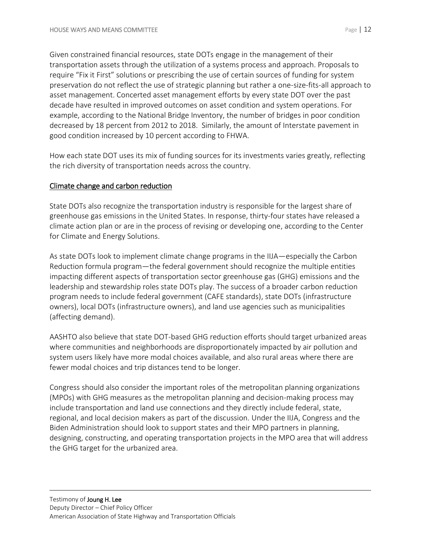Given constrained financial resources, state DOTs engage in the management of their transportation assets through the utilization of a systems process and approach. Proposals to require "Fix it First" solutions or prescribing the use of certain sources of funding for system preservation do not reflect the use of strategic planning but rather a one-size-fits-all approach to asset management. Concerted asset management efforts by every state DOT over the past decade have resulted in improved outcomes on asset condition and system operations. For example, according to the National Bridge Inventory, the number of bridges in poor condition decreased by 18 percent from 2012 to 2018. Similarly, the amount of Interstate pavement in good condition increased by 10 percent according to FHWA.

How each state DOT uses its mix of funding sources for its investments varies greatly, reflecting the rich diversity of transportation needs across the country.

# Climate change and carbon reduction

State DOTs also recognize the transportation industry is responsible for the largest share of greenhouse gas emissions in the United States. In response, thirty-four states have released a climate action plan or are in the process of revising or developing one, according to the Center for Climate and Energy Solutions.

As state DOTs look to implement climate change programs in the IIJA—especially the Carbon Reduction formula program—the federal government should recognize the multiple entities impacting different aspects of transportation sector greenhouse gas (GHG) emissions and the leadership and stewardship roles state DOTs play. The success of a broader carbon reduction program needs to include federal government (CAFE standards), state DOTs (infrastructure owners), local DOTs (infrastructure owners), and land use agencies such as municipalities (affecting demand).

AASHTO also believe that state DOT-based GHG reduction efforts should target urbanized areas where communities and neighborhoods are disproportionately impacted by air pollution and system users likely have more modal choices available, and also rural areas where there are fewer modal choices and trip distances tend to be longer.

Congress should also consider the important roles of the metropolitan planning organizations (MPOs) with GHG measures as the metropolitan planning and decision-making process may include transportation and land use connections and they directly include federal, state, regional, and local decision makers as part of the discussion. Under the IIJA, Congress and the Biden Administration should look to support states and their MPO partners in planning, designing, constructing, and operating transportation projects in the MPO area that will address the GHG target for the urbanized area.